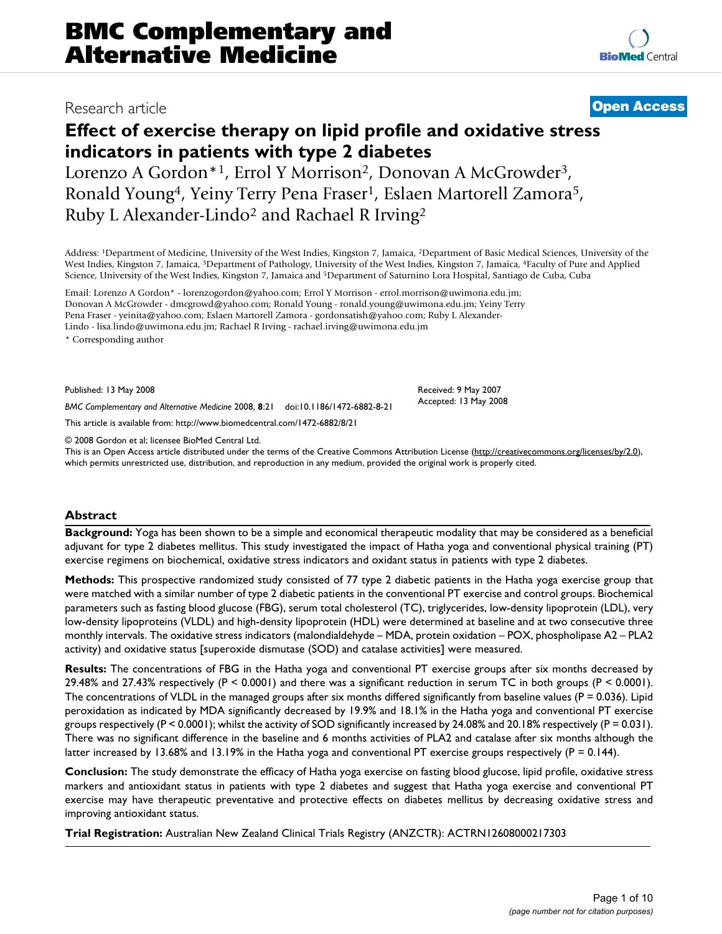### Research article **[Open Access](http://www.biomedcentral.com/info/about/charter/)**

# **Effect of exercise therapy on lipid profile and oxidative stress indicators in patients with type 2 diabetes**

Lorenzo A Gordon\*1, Errol Y Morrison<sup>2</sup>, Donovan A McGrowder<sup>3</sup>, Ronald Young<sup>4</sup>, Yeiny Terry Pena Fraser<sup>1</sup>, Eslaen Martorell Zamora<sup>5</sup>, Ruby L Alexander-Lindo2 and Rachael R Irving2

Address: 1Department of Medicine, University of the West Indies, Kingston 7, Jamaica, 2Department of Basic Medical Sciences, University of the West Indies, Kingston 7, Jamaica, 3Department of Pathology, University of the West Indies, Kingston 7, Jamaica, 4Faculty of Pure and Applied Science, University of the West Indies, Kingston 7, Jamaica and 5Department of Saturnino Lora Hospital, Santiago de Cuba, Cuba

Email: Lorenzo A Gordon\* - lorenzogordon@yahoo.com; Errol Y Morrison - errol.morrison@uwimona.edu.jm; Donovan A McGrowder - dmcgrowd@yahoo.com; Ronald Young - ronald.young@uwimona.edu.jm; Yeiny Terry Pena Fraser - yeinita@yahoo.com; Eslaen Martorell Zamora - gordonsatish@yahoo.com; Ruby L Alexander-Lindo - lisa.lindo@uwimona.edu.jm; Rachael R Irving - rachael.irving@uwimona.edu.jm

\* Corresponding author

Published: 13 May 2008

*BMC Complementary and Alternative Medicine* 2008, **8**:21 doi:10.1186/1472-6882-8-21

[This article is available from: http://www.biomedcentral.com/1472-6882/8/21](http://www.biomedcentral.com/1472-6882/8/21)

© 2008 Gordon et al; licensee BioMed Central Ltd.

This is an Open Access article distributed under the terms of the Creative Commons Attribution License [\(http://creativecommons.org/licenses/by/2.0\)](http://creativecommons.org/licenses/by/2.0), which permits unrestricted use, distribution, and reproduction in any medium, provided the original work is properly cited.

Received: 9 May 2007 Accepted: 13 May 2008

#### **Abstract**

**Background:** Yoga has been shown to be a simple and economical therapeutic modality that may be considered as a beneficial adjuvant for type 2 diabetes mellitus. This study investigated the impact of Hatha yoga and conventional physical training (PT) exercise regimens on biochemical, oxidative stress indicators and oxidant status in patients with type 2 diabetes.

**Methods:** This prospective randomized study consisted of 77 type 2 diabetic patients in the Hatha yoga exercise group that were matched with a similar number of type 2 diabetic patients in the conventional PT exercise and control groups. Biochemical parameters such as fasting blood glucose (FBG), serum total cholesterol (TC), triglycerides, low-density lipoprotein (LDL), very low-density lipoproteins (VLDL) and high-density lipoprotein (HDL) were determined at baseline and at two consecutive three monthly intervals. The oxidative stress indicators (malondialdehyde – MDA, protein oxidation – POX, phospholipase A2 – PLA2 activity) and oxidative status [superoxide dismutase (SOD) and catalase activities] were measured.

**Results:** The concentrations of FBG in the Hatha yoga and conventional PT exercise groups after six months decreased by 29.48% and 27.43% respectively (P < 0.0001) and there was a significant reduction in serum TC in both groups (P < 0.0001). The concentrations of VLDL in the managed groups after six months differed significantly from baseline values ( $P = 0.036$ ). Lipid peroxidation as indicated by MDA significantly decreased by 19.9% and 18.1% in the Hatha yoga and conventional PT exercise groups respectively  $(P < 0.0001)$ ; whilst the activity of SOD significantly increased by 24.08% and 20.18% respectively  $(P = 0.031)$ . There was no significant difference in the baseline and 6 months activities of PLA2 and catalase after six months although the latter increased by 13.68% and 13.19% in the Hatha yoga and conventional PT exercise groups respectively (P = 0.144).

**Conclusion:** The study demonstrate the efficacy of Hatha yoga exercise on fasting blood glucose, lipid profile, oxidative stress markers and antioxidant status in patients with type 2 diabetes and suggest that Hatha yoga exercise and conventional PT exercise may have therapeutic preventative and protective effects on diabetes mellitus by decreasing oxidative stress and improving antioxidant status.

**Trial Registration:** Australian New Zealand Clinical Trials Registry (ANZCTR): ACTRN12608000217303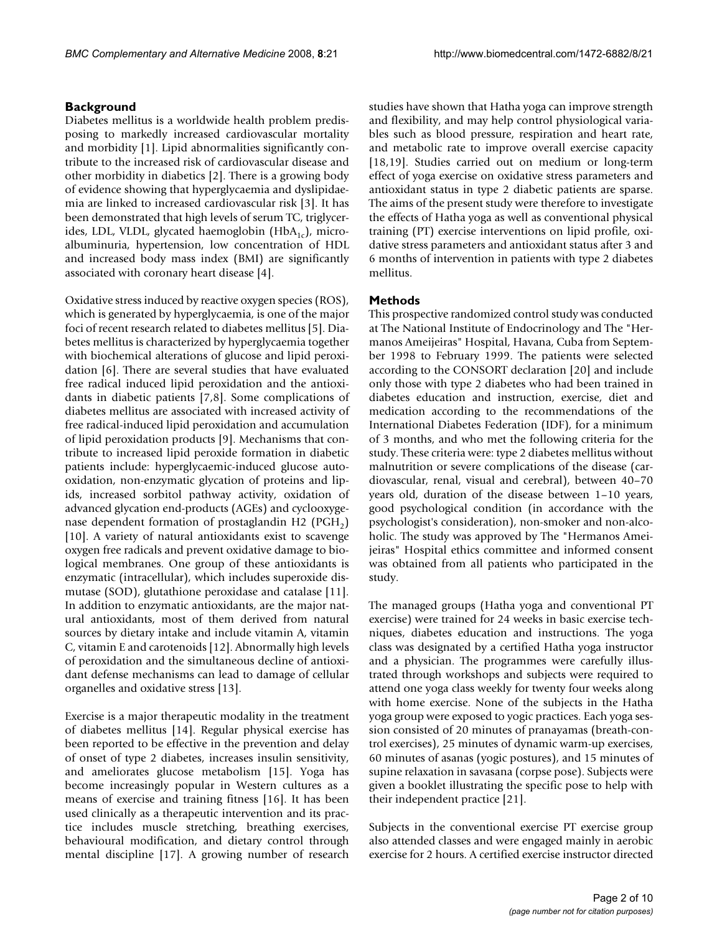### **Background**

Diabetes mellitus is a worldwide health problem predisposing to markedly increased cardiovascular mortality and morbidity [1]. Lipid abnormalities significantly contribute to the increased risk of cardiovascular disease and other morbidity in diabetics [2]. There is a growing body of evidence showing that hyperglycaemia and dyslipidaemia are linked to increased cardiovascular risk [3]. It has been demonstrated that high levels of serum TC, triglycerides, LDL, VLDL, glycated haemoglobin  $(HbA_{1c})$ , microalbuminuria, hypertension, low concentration of HDL and increased body mass index (BMI) are significantly associated with coronary heart disease [4].

Oxidative stress induced by reactive oxygen species (ROS), which is generated by hyperglycaemia, is one of the major foci of recent research related to diabetes mellitus [5]. Diabetes mellitus is characterized by hyperglycaemia together with biochemical alterations of glucose and lipid peroxidation [6]. There are several studies that have evaluated free radical induced lipid peroxidation and the antioxidants in diabetic patients [7,8]. Some complications of diabetes mellitus are associated with increased activity of free radical-induced lipid peroxidation and accumulation of lipid peroxidation products [9]. Mechanisms that contribute to increased lipid peroxide formation in diabetic patients include: hyperglycaemic-induced glucose autooxidation, non-enzymatic glycation of proteins and lipids, increased sorbitol pathway activity, oxidation of advanced glycation end-products (AGEs) and cyclooxygenase dependent formation of prostaglandin H2 ( $PGH<sub>2</sub>$ ) [10]. A variety of natural antioxidants exist to scavenge oxygen free radicals and prevent oxidative damage to biological membranes. One group of these antioxidants is enzymatic (intracellular), which includes superoxide dismutase (SOD), glutathione peroxidase and catalase [11]. In addition to enzymatic antioxidants, are the major natural antioxidants, most of them derived from natural sources by dietary intake and include vitamin A, vitamin C, vitamin E and carotenoids [12]. Abnormally high levels of peroxidation and the simultaneous decline of antioxidant defense mechanisms can lead to damage of cellular organelles and oxidative stress [13].

Exercise is a major therapeutic modality in the treatment of diabetes mellitus [14]. Regular physical exercise has been reported to be effective in the prevention and delay of onset of type 2 diabetes, increases insulin sensitivity, and ameliorates glucose metabolism [15]. Yoga has become increasingly popular in Western cultures as a means of exercise and training fitness [16]. It has been used clinically as a therapeutic intervention and its practice includes muscle stretching, breathing exercises, behavioural modification, and dietary control through mental discipline [17]. A growing number of research

studies have shown that Hatha yoga can improve strength and flexibility, and may help control physiological variables such as blood pressure, respiration and heart rate, and metabolic rate to improve overall exercise capacity [18,19]. Studies carried out on medium or long-term effect of yoga exercise on oxidative stress parameters and antioxidant status in type 2 diabetic patients are sparse. The aims of the present study were therefore to investigate the effects of Hatha yoga as well as conventional physical training (PT) exercise interventions on lipid profile, oxidative stress parameters and antioxidant status after 3 and 6 months of intervention in patients with type 2 diabetes mellitus.

#### **Methods**

This prospective randomized control study was conducted at The National Institute of Endocrinology and The "Hermanos Ameijeiras" Hospital, Havana, Cuba from September 1998 to February 1999. The patients were selected according to the CONSORT declaration [20] and include only those with type 2 diabetes who had been trained in diabetes education and instruction, exercise, diet and medication according to the recommendations of the International Diabetes Federation (IDF), for a minimum of 3 months, and who met the following criteria for the study. These criteria were: type 2 diabetes mellitus without malnutrition or severe complications of the disease (cardiovascular, renal, visual and cerebral), between 40–70 years old, duration of the disease between 1–10 years, good psychological condition (in accordance with the psychologist's consideration), non-smoker and non-alcoholic. The study was approved by The "Hermanos Ameijeiras" Hospital ethics committee and informed consent was obtained from all patients who participated in the study.

The managed groups (Hatha yoga and conventional PT exercise) were trained for 24 weeks in basic exercise techniques, diabetes education and instructions. The yoga class was designated by a certified Hatha yoga instructor and a physician. The programmes were carefully illustrated through workshops and subjects were required to attend one yoga class weekly for twenty four weeks along with home exercise. None of the subjects in the Hatha yoga group were exposed to yogic practices. Each yoga session consisted of 20 minutes of pranayamas (breath-control exercises), 25 minutes of dynamic warm-up exercises, 60 minutes of asanas (yogic postures), and 15 minutes of supine relaxation in savasana (corpse pose). Subjects were given a booklet illustrating the specific pose to help with their independent practice [21].

Subjects in the conventional exercise PT exercise group also attended classes and were engaged mainly in aerobic exercise for 2 hours. A certified exercise instructor directed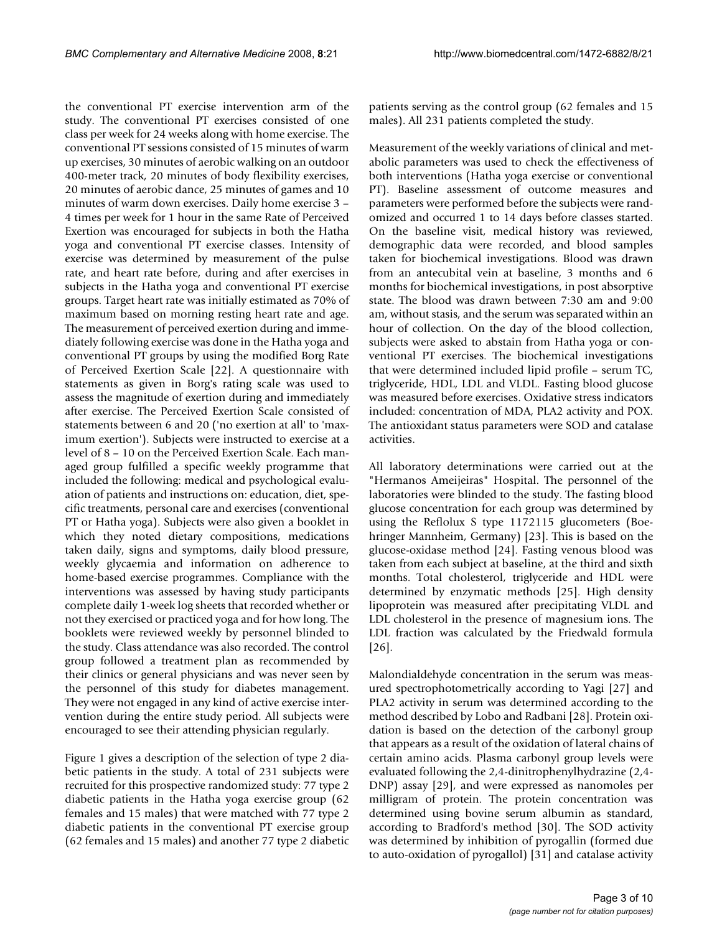the conventional PT exercise intervention arm of the study. The conventional PT exercises consisted of one class per week for 24 weeks along with home exercise. The conventional PT sessions consisted of 15 minutes of warm up exercises, 30 minutes of aerobic walking on an outdoor 400-meter track, 20 minutes of body flexibility exercises, 20 minutes of aerobic dance, 25 minutes of games and 10 minutes of warm down exercises. Daily home exercise 3 – 4 times per week for 1 hour in the same Rate of Perceived Exertion was encouraged for subjects in both the Hatha yoga and conventional PT exercise classes. Intensity of exercise was determined by measurement of the pulse rate, and heart rate before, during and after exercises in subjects in the Hatha yoga and conventional PT exercise groups. Target heart rate was initially estimated as 70% of maximum based on morning resting heart rate and age. The measurement of perceived exertion during and immediately following exercise was done in the Hatha yoga and conventional PT groups by using the modified Borg Rate of Perceived Exertion Scale [22]. A questionnaire with statements as given in Borg's rating scale was used to assess the magnitude of exertion during and immediately after exercise. The Perceived Exertion Scale consisted of statements between 6 and 20 ('no exertion at all' to 'maximum exertion'). Subjects were instructed to exercise at a level of 8 – 10 on the Perceived Exertion Scale. Each managed group fulfilled a specific weekly programme that included the following: medical and psychological evaluation of patients and instructions on: education, diet, specific treatments, personal care and exercises (conventional PT or Hatha yoga). Subjects were also given a booklet in which they noted dietary compositions, medications taken daily, signs and symptoms, daily blood pressure, weekly glycaemia and information on adherence to home-based exercise programmes. Compliance with the interventions was assessed by having study participants complete daily 1-week log sheets that recorded whether or not they exercised or practiced yoga and for how long. The booklets were reviewed weekly by personnel blinded to the study. Class attendance was also recorded. The control group followed a treatment plan as recommended by their clinics or general physicians and was never seen by the personnel of this study for diabetes management. They were not engaged in any kind of active exercise intervention during the entire study period. All subjects were encouraged to see their attending physician regularly.

Figure 1 gives a description of the selection of type 2 diabetic patients in the study. A total of 231 subjects were recruited for this prospective randomized study: 77 type 2 diabetic patients in the Hatha yoga exercise group (62 females and 15 males) that were matched with 77 type 2 diabetic patients in the conventional PT exercise group (62 females and 15 males) and another 77 type 2 diabetic patients serving as the control group (62 females and 15 males). All 231 patients completed the study.

Measurement of the weekly variations of clinical and metabolic parameters was used to check the effectiveness of both interventions (Hatha yoga exercise or conventional PT). Baseline assessment of outcome measures and parameters were performed before the subjects were randomized and occurred 1 to 14 days before classes started. On the baseline visit, medical history was reviewed, demographic data were recorded, and blood samples taken for biochemical investigations. Blood was drawn from an antecubital vein at baseline, 3 months and 6 months for biochemical investigations, in post absorptive state. The blood was drawn between 7:30 am and 9:00 am, without stasis, and the serum was separated within an hour of collection. On the day of the blood collection, subjects were asked to abstain from Hatha yoga or conventional PT exercises. The biochemical investigations that were determined included lipid profile – serum TC, triglyceride, HDL, LDL and VLDL. Fasting blood glucose was measured before exercises. Oxidative stress indicators included: concentration of MDA, PLA2 activity and POX. The antioxidant status parameters were SOD and catalase activities.

All laboratory determinations were carried out at the "Hermanos Ameijeiras" Hospital. The personnel of the laboratories were blinded to the study. The fasting blood glucose concentration for each group was determined by using the Reflolux S type 1172115 glucometers (Boehringer Mannheim, Germany) [23]. This is based on the glucose-oxidase method [24]. Fasting venous blood was taken from each subject at baseline, at the third and sixth months. Total cholesterol, triglyceride and HDL were determined by enzymatic methods [25]. High density lipoprotein was measured after precipitating VLDL and LDL cholesterol in the presence of magnesium ions. The LDL fraction was calculated by the Friedwald formula [26].

Malondialdehyde concentration in the serum was measured spectrophotometrically according to Yagi [27] and PLA2 activity in serum was determined according to the method described by Lobo and Radbani [28]. Protein oxidation is based on the detection of the carbonyl group that appears as a result of the oxidation of lateral chains of certain amino acids. Plasma carbonyl group levels were evaluated following the 2,4-dinitrophenylhydrazine (2,4- DNP) assay [29], and were expressed as nanomoles per milligram of protein. The protein concentration was determined using bovine serum albumin as standard, according to Bradford's method [30]. The SOD activity was determined by inhibition of pyrogallin (formed due to auto-oxidation of pyrogallol) [31] and catalase activity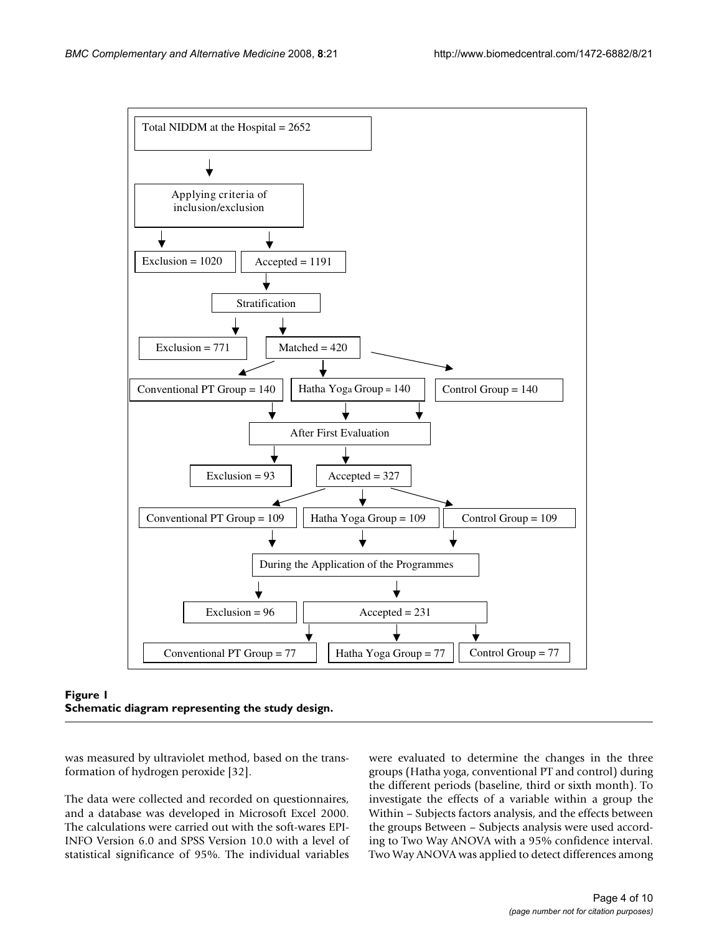

Figure 1 **Schematic diagram representing the study design.**

was measured by ultraviolet method, based on the transformation of hydrogen peroxide [32].

The data were collected and recorded on questionnaires, and a database was developed in Microsoft Excel 2000. The calculations were carried out with the soft-wares EPI-INFO Version 6.0 and SPSS Version 10.0 with a level of statistical significance of 95%. The individual variables were evaluated to determine the changes in the three groups (Hatha yoga, conventional PT and control) during the different periods (baseline, third or sixth month). To investigate the effects of a variable within a group the Within – Subjects factors analysis, and the effects between the groups Between – Subjects analysis were used according to Two Way ANOVA with a 95% confidence interval. Two Way ANOVA was applied to detect differences among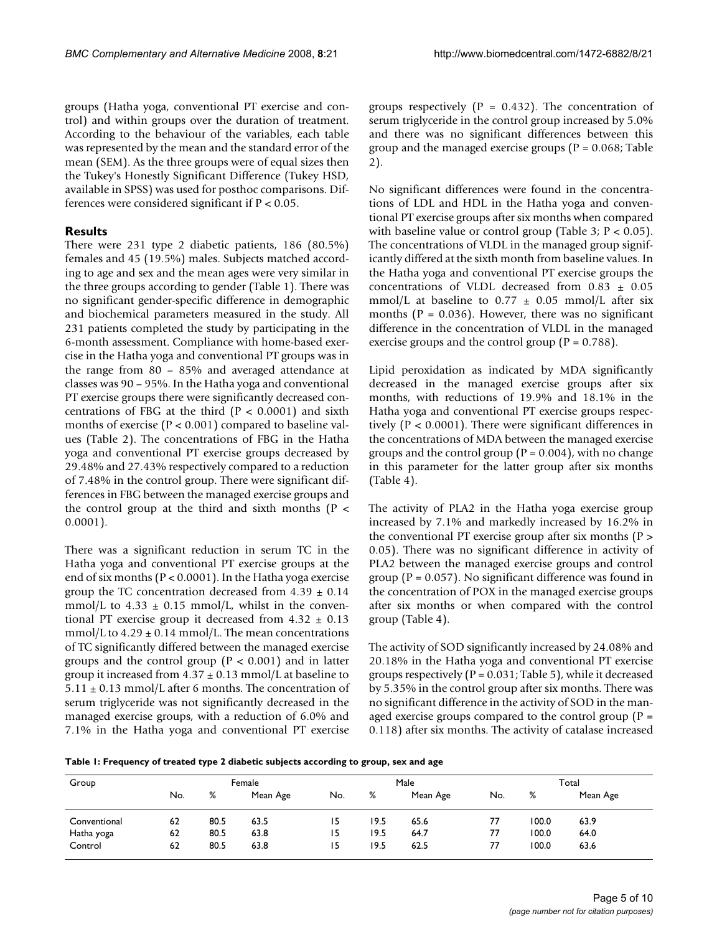groups (Hatha yoga, conventional PT exercise and control) and within groups over the duration of treatment. According to the behaviour of the variables, each table was represented by the mean and the standard error of the mean (SEM). As the three groups were of equal sizes then the Tukey's Honestly Significant Difference (Tukey HSD, available in SPSS) was used for posthoc comparisons. Differences were considered significant if  $P < 0.05$ .

### **Results**

There were 231 type 2 diabetic patients, 186 (80.5%) females and 45 (19.5%) males. Subjects matched according to age and sex and the mean ages were very similar in the three groups according to gender (Table 1). There was no significant gender-specific difference in demographic and biochemical parameters measured in the study. All 231 patients completed the study by participating in the 6-month assessment. Compliance with home-based exercise in the Hatha yoga and conventional PT groups was in the range from 80 – 85% and averaged attendance at classes was 90 – 95%. In the Hatha yoga and conventional PT exercise groups there were significantly decreased concentrations of FBG at the third ( $P < 0.0001$ ) and sixth months of exercise ( $P < 0.001$ ) compared to baseline values (Table 2). The concentrations of FBG in the Hatha yoga and conventional PT exercise groups decreased by 29.48% and 27.43% respectively compared to a reduction of 7.48% in the control group. There were significant differences in FBG between the managed exercise groups and the control group at the third and sixth months  $(P \leq$ 0.0001).

There was a significant reduction in serum TC in the Hatha yoga and conventional PT exercise groups at the end of six months ( $P < 0.0001$ ). In the Hatha yoga exercise group the TC concentration decreased from  $4.39 \pm 0.14$ mmol/L to  $4.33 \pm 0.15$  mmol/L, whilst in the conventional PT exercise group it decreased from  $4.32 \pm 0.13$ mmol/L to  $4.29 \pm 0.14$  mmol/L. The mean concentrations of TC significantly differed between the managed exercise groups and the control group ( $P < 0.001$ ) and in latter group it increased from  $4.37 \pm 0.13$  mmol/L at baseline to  $5.11 \pm 0.13$  mmol/L after 6 months. The concentration of serum triglyceride was not significantly decreased in the managed exercise groups, with a reduction of 6.0% and 7.1% in the Hatha yoga and conventional PT exercise

groups respectively ( $P = 0.432$ ). The concentration of serum triglyceride in the control group increased by 5.0% and there was no significant differences between this group and the managed exercise groups ( $P = 0.068$ ; Table 2).

No significant differences were found in the concentrations of LDL and HDL in the Hatha yoga and conventional PT exercise groups after six months when compared with baseline value or control group (Table 3;  $P < 0.05$ ). The concentrations of VLDL in the managed group significantly differed at the sixth month from baseline values. In the Hatha yoga and conventional PT exercise groups the concentrations of VLDL decreased from 0.83 ± 0.05 mmol/L at baseline to  $0.77 \pm 0.05$  mmol/L after six months ( $P = 0.036$ ). However, there was no significant difference in the concentration of VLDL in the managed exercise groups and the control group ( $P = 0.788$ ).

Lipid peroxidation as indicated by MDA significantly decreased in the managed exercise groups after six months, with reductions of 19.9% and 18.1% in the Hatha yoga and conventional PT exercise groups respectively (P < 0.0001). There were significant differences in the concentrations of MDA between the managed exercise groups and the control group ( $P = 0.004$ ), with no change in this parameter for the latter group after six months (Table 4).

The activity of PLA2 in the Hatha yoga exercise group increased by 7.1% and markedly increased by 16.2% in the conventional PT exercise group after six months  $(P >$ 0.05). There was no significant difference in activity of PLA2 between the managed exercise groups and control group ( $P = 0.057$ ). No significant difference was found in the concentration of POX in the managed exercise groups after six months or when compared with the control group (Table 4).

The activity of SOD significantly increased by 24.08% and 20.18% in the Hatha yoga and conventional PT exercise groups respectively ( $P = 0.031$ ; Table 5), while it decreased by 5.35% in the control group after six months. There was no significant difference in the activity of SOD in the managed exercise groups compared to the control group ( $P =$ 0.118) after six months. The activity of catalase increased

**Table 1: Frequency of treated type 2 diabetic subjects according to group, sex and age**

| Group        | Female |      |          | Male |      |          | Total |       |          |
|--------------|--------|------|----------|------|------|----------|-------|-------|----------|
|              | No.    | %    | Mean Age | No.  | %    | Mean Age | No.   | %     | Mean Age |
| Conventional | 62     | 80.5 | 63.5     | 15   | 19.5 | 65.6     | 77    | 100.0 | 63.9     |
| Hatha yoga   | 62     | 80.5 | 63.8     | 15   | 19.5 | 64.7     | 77    | 100.0 | 64.0     |
| Control      | 62     | 80.5 | 63.8     | 15   | 19.5 | 62.5     | 77    | 100.0 | 63.6     |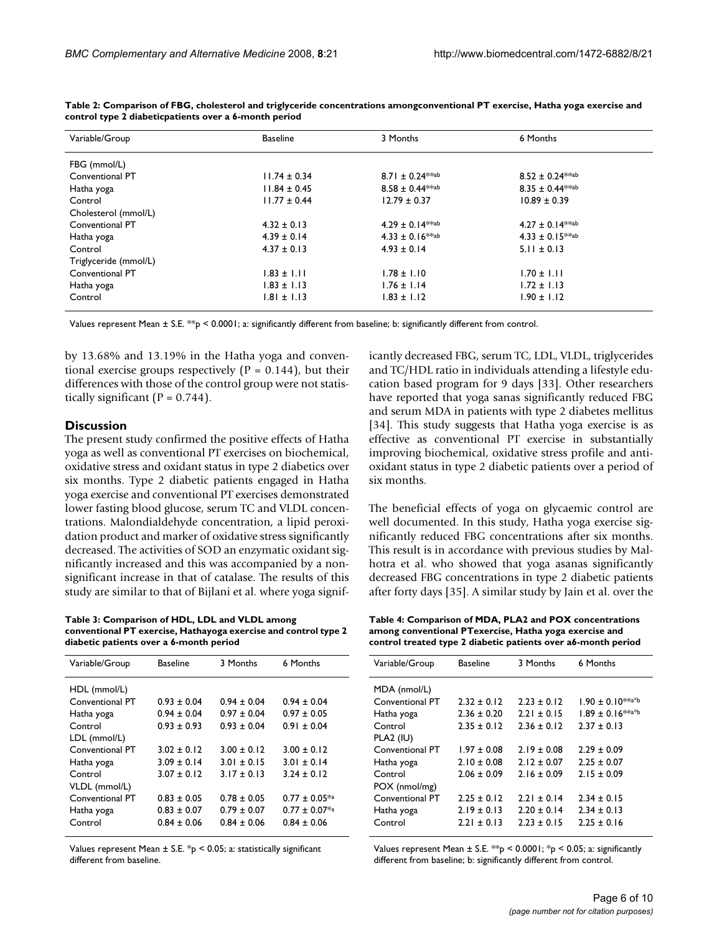| Variable/Group        | <b>Baseline</b>  | 3 Months                     | 6 Months                 |
|-----------------------|------------------|------------------------------|--------------------------|
| FBG (mmol/L)          |                  |                              |                          |
| Conventional PT       | $11.74 \pm 0.34$ | $8.71 \pm 0.24$ **ab         | $8.52 \pm 0.24***$ ab    |
| Hatha yoga            | $11.84 \pm 0.45$ | $8.58 \pm 0.44$ **ab         | $8.35 \pm 0.44***$ ab    |
| Control               | $11.77 \pm 0.44$ | $12.79 \pm 0.37$             | $10.89 \pm 0.39$         |
| Cholesterol (mmol/L)  |                  |                              |                          |
| Conventional PT       | $4.32 \pm 0.13$  | $4.29 \pm 0.14^{*\times ab}$ | $4.27 \pm 0.14^{***}$ ab |
| Hatha yoga            | $4.39 \pm 0.14$  | $4.33 \pm 0.16$ **ab         | $4.33 \pm 0.15^{***}$ ab |
| Control               | $4.37 \pm 0.13$  | $4.93 \pm 0.14$              | $5.11 \pm 0.13$          |
| Triglyceride (mmol/L) |                  |                              |                          |
| Conventional PT       | $1.83 \pm 1.11$  | $1.78 \pm 1.10$              | $1.70 \pm 1.11$          |
| Hatha yoga            | $1.83 \pm 1.13$  | $1.76 \pm 1.14$              | $1.72 \pm 1.13$          |
| Control               | $1.81 \pm 1.13$  | $1.83 \pm 1.12$              | $1.90 \pm 1.12$          |

**Table 2: Comparison of FBG, cholesterol and triglyceride concentrations amongconventional PT exercise, Hatha yoga exercise and control type 2 diabeticpatients over a 6-month period**

Values represent Mean  $\pm$  S.E.  $**$ p < 0.0001; a: significantly different from baseline; b: significantly different from control.

by 13.68% and 13.19% in the Hatha yoga and conventional exercise groups respectively  $(P = 0.144)$ , but their differences with those of the control group were not statistically significant ( $P = 0.744$ ).

#### **Discussion**

The present study confirmed the positive effects of Hatha yoga as well as conventional PT exercises on biochemical, oxidative stress and oxidant status in type 2 diabetics over six months. Type 2 diabetic patients engaged in Hatha yoga exercise and conventional PT exercises demonstrated lower fasting blood glucose, serum TC and VLDL concentrations. Malondialdehyde concentration, a lipid peroxidation product and marker of oxidative stress significantly decreased. The activities of SOD an enzymatic oxidant significantly increased and this was accompanied by a nonsignificant increase in that of catalase. The results of this study are similar to that of Bijlani et al. where yoga signif-

**Table 3: Comparison of HDL, LDL and VLDL among conventional PT exercise, Hathayoga exercise and control type 2 diabetic patients over a 6-month period**

| Variable/Group  | Baseline        | 3 Months      | 6 Months              |
|-----------------|-----------------|---------------|-----------------------|
| HDL (mmol/L)    |                 |               |                       |
| Conventional PT | $0.93 + 0.04$   | $0.94 + 0.04$ | $0.94 + 0.04$         |
| Hatha yoga      | $0.94 \pm 0.04$ | $0.97 + 0.04$ | $0.97 \pm 0.05$       |
| Control         | $0.93 + 0.93$   | $0.93 + 0.04$ | $0.91 + 0.04$         |
| LDL (mmol/L)    |                 |               |                       |
| Conventional PT | $3.02 + 0.12$   | $3.00 + 0.12$ | $3.00 + 0.12$         |
| Hatha yoga      | $3.09 \pm 0.14$ | $3.01 + 0.15$ | $3.01 \pm 0.14$       |
| Control         | $3.07 + 0.12$   | $3.17 + 0.13$ | $3.24 \pm 0.12$       |
| VLDL (mmol/L)   |                 |               |                       |
| Conventional PT | $0.83 \pm 0.05$ | $0.78 + 0.05$ | $0.77 \pm 0.05^{*a}$  |
| Hatha yoga      | $0.83 \pm 0.07$ | $0.79 + 0.07$ | $0.77 \pm 0.07^{*}$ a |
| Control         | $0.84 + 0.06$   | $0.84 + 0.06$ | $0.84 + 0.06$         |

Values represent Mean  $\pm$  S.E. \*p < 0.05; a: statistically significant different from baseline.

icantly decreased FBG, serum TC, LDL, VLDL, triglycerides and TC/HDL ratio in individuals attending a lifestyle education based program for 9 days [33]. Other researchers have reported that yoga sanas significantly reduced FBG and serum MDA in patients with type 2 diabetes mellitus [34]. This study suggests that Hatha yoga exercise is as effective as conventional PT exercise in substantially improving biochemical, oxidative stress profile and antioxidant status in type 2 diabetic patients over a period of six months.

The beneficial effects of yoga on glycaemic control are well documented. In this study, Hatha yoga exercise significantly reduced FBG concentrations after six months. This result is in accordance with previous studies by Malhotra et al. who showed that yoga asanas significantly decreased FBG concentrations in type 2 diabetic patients after forty days [35]. A similar study by Jain et al. over the

**Table 4: Comparison of MDA, PLA2 and POX concentrations among conventional PTexercise, Hatha yoga exercise and control treated type 2 diabetic patients over a6-month period**

| Variable/Group  | <b>Baseline</b> | 3 Months        | 6 Months                 |
|-----------------|-----------------|-----------------|--------------------------|
| MDA (nmol/L)    |                 |                 |                          |
| Conventional PT | $2.32 \pm 0.12$ | $2.23 \pm 0.12$ | $1.90 \pm 0.10^{**}$ a*b |
| Hatha yoga      | $2.36 \pm 0.20$ | $2.21 \pm 0.15$ | $1.89 \pm 0.16***$       |
| Control         | $2.35 + 0.12$   | $2.36 + 0.12$   | $2.37 + 0.13$            |
| PLA2 (IU)       |                 |                 |                          |
| Conventional PT | $1.97 + 0.08$   | $2.19 + 0.08$   | $2.29 + 0.09$            |
| Hatha yoga      | $2.10 \pm 0.08$ | $2.12 \pm 0.07$ | $2.25 + 0.07$            |
| Control         | $2.06 + 0.09$   | $2.16 + 0.09$   | $2.15 \pm 0.09$          |
| POX (nmol/mg)   |                 |                 |                          |
| Conventional PT | $2.25 + 0.12$   | $2.21 + 0.14$   | $2.34 + 0.15$            |
| Hatha yoga      | $2.19 \pm 0.13$ | $2.20 \pm 0.14$ | $2.34 \pm 0.13$          |
| Control         | $2.21 + 0.13$   | $2.23 + 0.15$   | $2.25 + 0.16$            |
|                 |                 |                 |                          |

Values represent Mean  $\pm$  S.E. \*\*p < 0.0001; \*p < 0.05; a: significantly different from baseline; b: significantly different from control.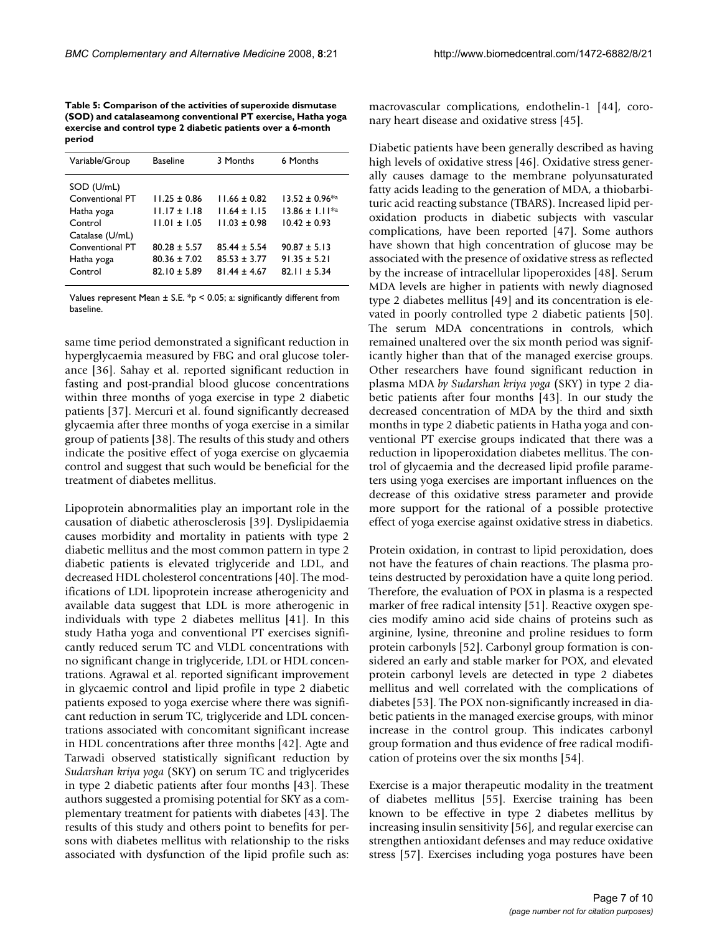**Table 5: Comparison of the activities of superoxide dismutase (SOD) and catalaseamong conventional PT exercise, Hatha yoga exercise and control type 2 diabetic patients over a 6-month period**

| Variable/Group  | <b>Baseline</b>  | 3 Months       | 6 Months               |
|-----------------|------------------|----------------|------------------------|
| SOD (U/mL)      |                  |                |                        |
| Conventional PT | $11.25 + 0.86$   | $11.66 + 0.82$ | $13.52 \pm 0.96^{*}$ a |
| Hatha yoga      | $11.17 \pm 1.18$ | $11.64 + 1.15$ | $13.86 \pm 1.11^{*a}$  |
| Control         | $11.01 + 1.05$   | $11.03 + 0.98$ | $10.42 \pm 0.93$       |
| Catalase (U/mL) |                  |                |                        |
| Conventional PT | $80.28 + 5.57$   | $85.44 + 5.54$ | $90.87 \pm 5.13$       |
| Hatha yoga      | $80.36 + 7.02$   | $85.53 + 3.77$ | $91.35 \pm 5.21$       |
| Control         | $82.10 \pm 5.89$ | $81.44 + 4.67$ | $82.11 \pm 5.34$       |
|                 |                  |                |                        |

Values represent Mean  $\pm$  S.E.  $*_{p}$  < 0.05; a: significantly different from baseline.

same time period demonstrated a significant reduction in hyperglycaemia measured by FBG and oral glucose tolerance [36]. Sahay et al. reported significant reduction in fasting and post-prandial blood glucose concentrations within three months of yoga exercise in type 2 diabetic patients [37]. Mercuri et al. found significantly decreased glycaemia after three months of yoga exercise in a similar group of patients [38]. The results of this study and others indicate the positive effect of yoga exercise on glycaemia control and suggest that such would be beneficial for the treatment of diabetes mellitus.

Lipoprotein abnormalities play an important role in the causation of diabetic atherosclerosis [39]. Dyslipidaemia causes morbidity and mortality in patients with type 2 diabetic mellitus and the most common pattern in type 2 diabetic patients is elevated triglyceride and LDL, and decreased HDL cholesterol concentrations [40]. The modifications of LDL lipoprotein increase atherogenicity and available data suggest that LDL is more atherogenic in individuals with type 2 diabetes mellitus [41]. In this study Hatha yoga and conventional PT exercises significantly reduced serum TC and VLDL concentrations with no significant change in triglyceride, LDL or HDL concentrations. Agrawal et al. reported significant improvement in glycaemic control and lipid profile in type 2 diabetic patients exposed to yoga exercise where there was significant reduction in serum TC, triglyceride and LDL concentrations associated with concomitant significant increase in HDL concentrations after three months [42]. Agte and Tarwadi observed statistically significant reduction by *Sudarshan kriya yoga* (SKY) on serum TC and triglycerides in type 2 diabetic patients after four months [43]. These authors suggested a promising potential for SKY as a complementary treatment for patients with diabetes [43]. The results of this study and others point to benefits for persons with diabetes mellitus with relationship to the risks associated with dysfunction of the lipid profile such as:

macrovascular complications, endothelin-1 [44], coronary heart disease and oxidative stress [45].

Diabetic patients have been generally described as having high levels of oxidative stress [46]. Oxidative stress generally causes damage to the membrane polyunsaturated fatty acids leading to the generation of MDA, a thiobarbituric acid reacting substance (TBARS). Increased lipid peroxidation products in diabetic subjects with vascular complications, have been reported [47]. Some authors have shown that high concentration of glucose may be associated with the presence of oxidative stress as reflected by the increase of intracellular lipoperoxides [48]. Serum MDA levels are higher in patients with newly diagnosed type 2 diabetes mellitus [49] and its concentration is elevated in poorly controlled type 2 diabetic patients [50]. The serum MDA concentrations in controls, which remained unaltered over the six month period was significantly higher than that of the managed exercise groups. Other researchers have found significant reduction in plasma MDA *by Sudarshan kriya yoga* (SKY) in type 2 diabetic patients after four months [43]. In our study the decreased concentration of MDA by the third and sixth months in type 2 diabetic patients in Hatha yoga and conventional PT exercise groups indicated that there was a reduction in lipoperoxidation diabetes mellitus. The control of glycaemia and the decreased lipid profile parameters using yoga exercises are important influences on the decrease of this oxidative stress parameter and provide more support for the rational of a possible protective effect of yoga exercise against oxidative stress in diabetics.

Protein oxidation, in contrast to lipid peroxidation, does not have the features of chain reactions. The plasma proteins destructed by peroxidation have a quite long period. Therefore, the evaluation of POX in plasma is a respected marker of free radical intensity [51]. Reactive oxygen species modify amino acid side chains of proteins such as arginine, lysine, threonine and proline residues to form protein carbonyls [52]. Carbonyl group formation is considered an early and stable marker for POX, and elevated protein carbonyl levels are detected in type 2 diabetes mellitus and well correlated with the complications of diabetes [53]. The POX non-significantly increased in diabetic patients in the managed exercise groups, with minor increase in the control group. This indicates carbonyl group formation and thus evidence of free radical modification of proteins over the six months [54].

Exercise is a major therapeutic modality in the treatment of diabetes mellitus [55]. Exercise training has been known to be effective in type 2 diabetes mellitus by increasing insulin sensitivity [56], and regular exercise can strengthen antioxidant defenses and may reduce oxidative stress [57]. Exercises including yoga postures have been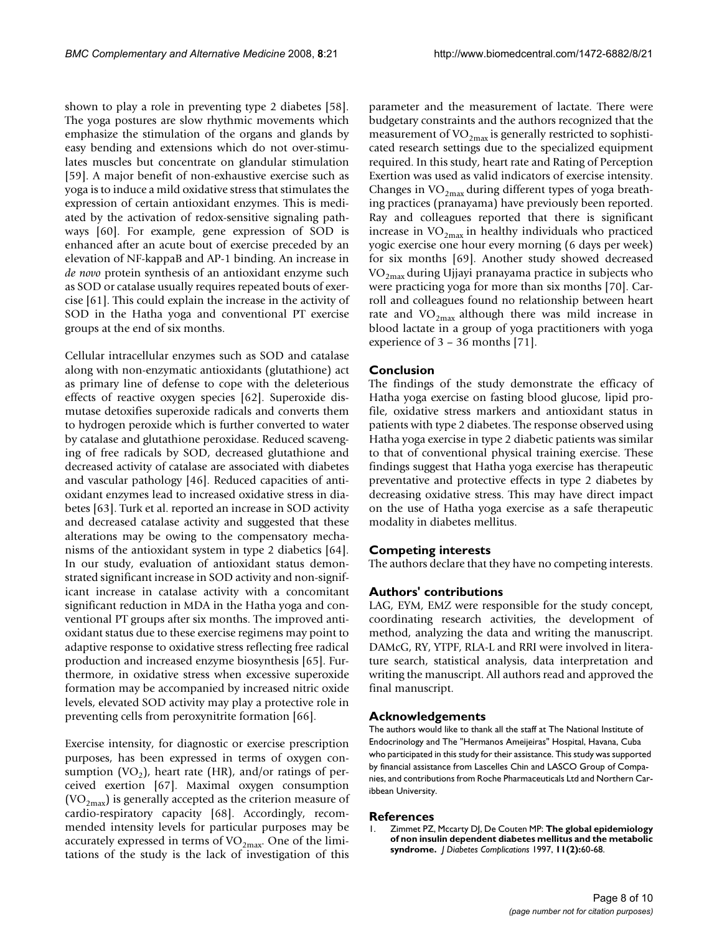shown to play a role in preventing type 2 diabetes [58]. The yoga postures are slow rhythmic movements which emphasize the stimulation of the organs and glands by easy bending and extensions which do not over-stimulates muscles but concentrate on glandular stimulation [59]. A major benefit of non-exhaustive exercise such as yoga is to induce a mild oxidative stress that stimulates the expression of certain antioxidant enzymes. This is mediated by the activation of redox-sensitive signaling pathways [60]. For example, gene expression of SOD is enhanced after an acute bout of exercise preceded by an elevation of NF-kappaB and AP-1 binding. An increase in *de novo* protein synthesis of an antioxidant enzyme such as SOD or catalase usually requires repeated bouts of exercise [61]. This could explain the increase in the activity of SOD in the Hatha yoga and conventional PT exercise groups at the end of six months.

Cellular intracellular enzymes such as SOD and catalase along with non-enzymatic antioxidants (glutathione) act as primary line of defense to cope with the deleterious effects of reactive oxygen species [62]. Superoxide dismutase detoxifies superoxide radicals and converts them to hydrogen peroxide which is further converted to water by catalase and glutathione peroxidase. Reduced scavenging of free radicals by SOD, decreased glutathione and decreased activity of catalase are associated with diabetes and vascular pathology [46]. Reduced capacities of antioxidant enzymes lead to increased oxidative stress in diabetes [63]. Turk et al. reported an increase in SOD activity and decreased catalase activity and suggested that these alterations may be owing to the compensatory mechanisms of the antioxidant system in type 2 diabetics [64]. In our study, evaluation of antioxidant status demonstrated significant increase in SOD activity and non-significant increase in catalase activity with a concomitant significant reduction in MDA in the Hatha yoga and conventional PT groups after six months. The improved antioxidant status due to these exercise regimens may point to adaptive response to oxidative stress reflecting free radical production and increased enzyme biosynthesis [65]. Furthermore, in oxidative stress when excessive superoxide formation may be accompanied by increased nitric oxide levels, elevated SOD activity may play a protective role in preventing cells from peroxynitrite formation [66].

Exercise intensity, for diagnostic or exercise prescription purposes, has been expressed in terms of oxygen consumption (VO<sub>2</sub>), heart rate (HR), and/or ratings of perceived exertion [67]. Maximal oxygen consumption  $(VO<sub>2max</sub>)$  is generally accepted as the criterion measure of cardio-respiratory capacity [68]. Accordingly, recommended intensity levels for particular purposes may be accurately expressed in terms of  $VO<sub>2max</sub>$ . One of the limitations of the study is the lack of investigation of this parameter and the measurement of lactate. There were budgetary constraints and the authors recognized that the measurement of  $VO_{2max}$  is generally restricted to sophisticated research settings due to the specialized equipment required. In this study, heart rate and Rating of Perception Exertion was used as valid indicators of exercise intensity. Changes in  $VO_{2max}$  during different types of yoga breathing practices (pranayama) have previously been reported. Ray and colleagues reported that there is significant increase in  $VO_{2max}$  in healthy individuals who practiced yogic exercise one hour every morning (6 days per week) for six months [69]. Another study showed decreased  $VO_{2max}$  during Ujjayi pranayama practice in subjects who were practicing yoga for more than six months [70]. Carroll and colleagues found no relationship between heart rate and  $VO_{2max}$  although there was mild increase in blood lactate in a group of yoga practitioners with yoga experience of 3 – 36 months [71].

#### **Conclusion**

The findings of the study demonstrate the efficacy of Hatha yoga exercise on fasting blood glucose, lipid profile, oxidative stress markers and antioxidant status in patients with type 2 diabetes. The response observed using Hatha yoga exercise in type 2 diabetic patients was similar to that of conventional physical training exercise. These findings suggest that Hatha yoga exercise has therapeutic preventative and protective effects in type 2 diabetes by decreasing oxidative stress. This may have direct impact on the use of Hatha yoga exercise as a safe therapeutic modality in diabetes mellitus.

#### **Competing interests**

The authors declare that they have no competing interests.

#### **Authors' contributions**

LAG, EYM, EMZ were responsible for the study concept, coordinating research activities, the development of method, analyzing the data and writing the manuscript. DAMcG, RY, YTPF, RLA-L and RRI were involved in literature search, statistical analysis, data interpretation and writing the manuscript. All authors read and approved the final manuscript.

#### **Acknowledgements**

The authors would like to thank all the staff at The National Institute of Endocrinology and The "Hermanos Ameijeiras" Hospital, Havana, Cuba who participated in this study for their assistance. This study was supported by financial assistance from Lascelles Chin and LASCO Group of Companies, and contributions from Roche Pharmaceuticals Ltd and Northern Caribbean University.

## **References**<br>L. 7immet P7.

1. Zimmet PZ, Mccarty DJ, De Couten MP: **[The global epidemiology](http://www.ncbi.nlm.nih.gov/entrez/query.fcgi?cmd=Retrieve&db=PubMed&dopt=Abstract&list_uids=9101389) [of non insulin dependent diabetes mellitus and the metabolic](http://www.ncbi.nlm.nih.gov/entrez/query.fcgi?cmd=Retrieve&db=PubMed&dopt=Abstract&list_uids=9101389) [syndrome.](http://www.ncbi.nlm.nih.gov/entrez/query.fcgi?cmd=Retrieve&db=PubMed&dopt=Abstract&list_uids=9101389)** *J Diabetes Complications* 1997, **11(2):**60-68.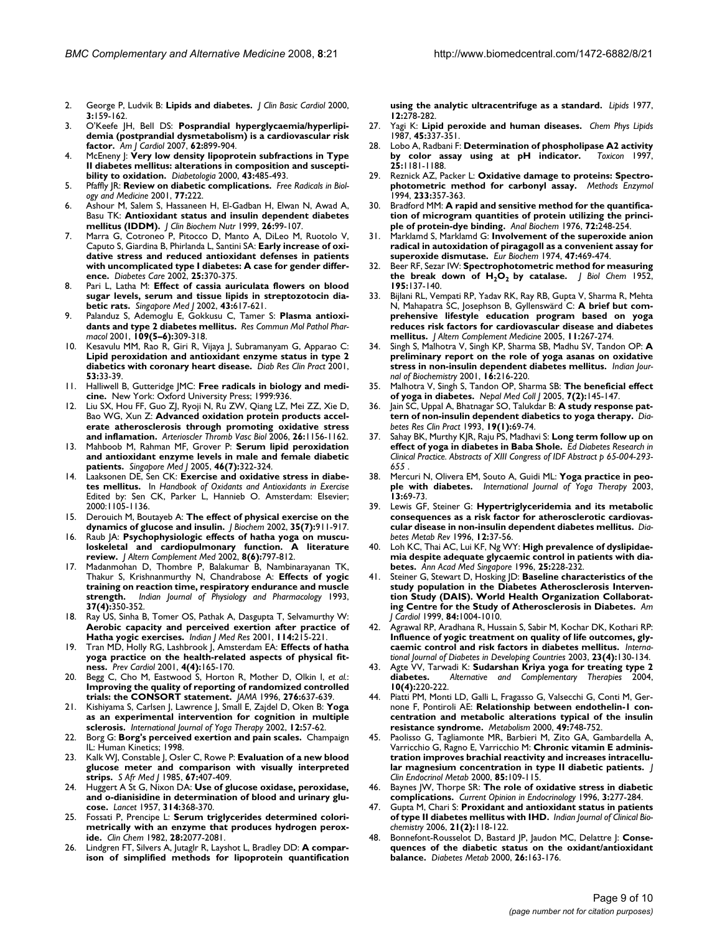- 2. George P, Ludvik B: **Lipids and diabetes.** *J Clin Basic Cardiol* 2000, **3:**159-162.
- 3. O'Keefe JH, Bell DS: **Posprandial hyperglycaemia/hyperlipidemia (postprandial dysmetabolism) is a cardiovascular risk factor.** *Am J Cardiol* 2007, **62:**899-904.
- 4. McEneny J: **[Very low density lipoprotein subfractions in Type](http://www.ncbi.nlm.nih.gov/entrez/query.fcgi?cmd=Retrieve&db=PubMed&dopt=Abstract&list_uids=10819243) [II diabetes mellitus: alterations in composition and suscepti](http://www.ncbi.nlm.nih.gov/entrez/query.fcgi?cmd=Retrieve&db=PubMed&dopt=Abstract&list_uids=10819243)[bility to oxidation.](http://www.ncbi.nlm.nih.gov/entrez/query.fcgi?cmd=Retrieve&db=PubMed&dopt=Abstract&list_uids=10819243)** *Diabetologia* 2000, **43:**485-493.
- 5. Pfaffly JR: **Review on diabetic complications.** *Free Radicals in Biology and Medicine* 2001, **77:**222.
- 6. Ashour M, Salem S, Hassaneen H, El-Gadban H, Elwan N, Awad A, Basu TK: **Antioxidant status and insulin dependent diabetes mellitus (IDDM).** *J Clin Biochem Nutr* 1999, **26:**99-107.
- 7. Marra G, Cotroneo P, Pitocco D, Manto A, DiLeo M, Ruotolo V, Caputo S, Giardina B, Phirlanda L, Santini SA: **[Early increase of oxi](http://www.ncbi.nlm.nih.gov/entrez/query.fcgi?cmd=Retrieve&db=PubMed&dopt=Abstract&list_uids=11815512)dative stress and reduced antioxidant defenses in patients [with uncomplicated type I diabetes: A case for gender differ](http://www.ncbi.nlm.nih.gov/entrez/query.fcgi?cmd=Retrieve&db=PubMed&dopt=Abstract&list_uids=11815512)[ence.](http://www.ncbi.nlm.nih.gov/entrez/query.fcgi?cmd=Retrieve&db=PubMed&dopt=Abstract&list_uids=11815512)** *Diabetes Care* 2002, **25:**370-375.
- 8. Pari L, Latha M: **[Effect of cassia auriculata flowers on blood](http://www.ncbi.nlm.nih.gov/entrez/query.fcgi?cmd=Retrieve&db=PubMed&dopt=Abstract&list_uids=12693765) [sugar levels, serum and tissue lipids in streptozotocin dia](http://www.ncbi.nlm.nih.gov/entrez/query.fcgi?cmd=Retrieve&db=PubMed&dopt=Abstract&list_uids=12693765)[betic rats.](http://www.ncbi.nlm.nih.gov/entrez/query.fcgi?cmd=Retrieve&db=PubMed&dopt=Abstract&list_uids=12693765)** *Singapore Med J* 2002, **43:**617-621.
- 9. Palanduz S, Ademoglu E, Gokkusu C, Tamer S: **[Plasma antioxi](http://www.ncbi.nlm.nih.gov/entrez/query.fcgi?cmd=Retrieve&db=PubMed&dopt=Abstract&list_uids=12889514)[dants and type 2 diabetes mellitus.](http://www.ncbi.nlm.nih.gov/entrez/query.fcgi?cmd=Retrieve&db=PubMed&dopt=Abstract&list_uids=12889514)** *Res Commun Mol Pathol Pharmacol* 2001, **109(5–6):**309-318.
- 10. Kesavulu MM, Rao R, Giri R, Vijaya J, Subramanyam G, Apparao C: **Lipid peroxidation and antioxidant enzyme status in type 2 diabetics with coronary heart disease.** *Diab Res Clin Pract* 2001, **53:**33-39.
- 11. Halliwell B, Gutteridge JMC: **Free radicals in biology and medicine.** New York: Oxford University Press; 1999:936.
- 12. Liu SX, Hou FF, Guo ZJ, Ryoji N, Ru ZW, Qiang LZ, Mei ZZ, Xie D, Bao WG, Xun Z: **[Advanced oxidation protein products accel](http://www.ncbi.nlm.nih.gov/entrez/query.fcgi?cmd=Retrieve&db=PubMed&dopt=Abstract&list_uids=16497990)[erate atherosclerosis through promoting oxidative stress](http://www.ncbi.nlm.nih.gov/entrez/query.fcgi?cmd=Retrieve&db=PubMed&dopt=Abstract&list_uids=16497990) [and inflamation.](http://www.ncbi.nlm.nih.gov/entrez/query.fcgi?cmd=Retrieve&db=PubMed&dopt=Abstract&list_uids=16497990)** *Arterioscler Thromb Vasc Biol* 2006, **26:**1156-1162.
- 13. Mahboob M, Rahman MF, Grover P: **[Serum lipid peroxidation](http://www.ncbi.nlm.nih.gov/entrez/query.fcgi?cmd=Retrieve&db=PubMed&dopt=Abstract&list_uids=15968442) [and antioxidant enzyme levels in male and female diabetic](http://www.ncbi.nlm.nih.gov/entrez/query.fcgi?cmd=Retrieve&db=PubMed&dopt=Abstract&list_uids=15968442) [patients.](http://www.ncbi.nlm.nih.gov/entrez/query.fcgi?cmd=Retrieve&db=PubMed&dopt=Abstract&list_uids=15968442)** *Singapore Med J* 2005, **46(7):**322-324.
- 14. Laaksonen DE, Sen CK: **Exercise and oxidative stress in diabetes mellitus.** In *Handbook of Oxidants and Antioxidants in Exercise* Edited by: Sen CK, Parker L, Hannieb O. Amsterdam: Elsevier; 2000:1105-1136.
- 15. Derouich M, Boutayeb A: **[The effect of physical exercise on the](http://www.ncbi.nlm.nih.gov/entrez/query.fcgi?cmd=Retrieve&db=PubMed&dopt=Abstract&list_uids=12052393) [dynamics of glucose and insulin.](http://www.ncbi.nlm.nih.gov/entrez/query.fcgi?cmd=Retrieve&db=PubMed&dopt=Abstract&list_uids=12052393)** *J Biochem* 2002, **35(7):**911-917.
- 16. Raub JA: **[Psychophysiologic effects of hatha yoga on muscu](http://www.ncbi.nlm.nih.gov/entrez/query.fcgi?cmd=Retrieve&db=PubMed&dopt=Abstract&list_uids=12614533)[loskeletal and cardiopulmonary function. A literature](http://www.ncbi.nlm.nih.gov/entrez/query.fcgi?cmd=Retrieve&db=PubMed&dopt=Abstract&list_uids=12614533) [review.](http://www.ncbi.nlm.nih.gov/entrez/query.fcgi?cmd=Retrieve&db=PubMed&dopt=Abstract&list_uids=12614533)** *J Altern Complement Med* 2002, **8(6):**797-812.
- 17. Madanmohan D, Thombre P, Balakumar B, Nambinarayanan TK, Thakur S, Krishnanmurthy N, Chandrabose A: **Effects of yogic training on reaction time, respiratory endurance and muscle strength.** *Indian Journal of Physiology and Pharmacology* 1993, **37(4):**350-352.
- 18. Ray US, Sinha B, Tomer OS, Pathak A, Dasgupta T, Selvamurthy W: **[Aerobic capacity and perceived exertion after practice of](http://www.ncbi.nlm.nih.gov/entrez/query.fcgi?cmd=Retrieve&db=PubMed&dopt=Abstract&list_uids=12040766) [Hatha yogic exercises.](http://www.ncbi.nlm.nih.gov/entrez/query.fcgi?cmd=Retrieve&db=PubMed&dopt=Abstract&list_uids=12040766)** *Indian J Med Res* 2001, **114:**215-221.
- 19. Tran MD, Holly RG, Lashbrook J, Amsterdam EA: **[Effects of hatha](http://www.ncbi.nlm.nih.gov/entrez/query.fcgi?cmd=Retrieve&db=PubMed&dopt=Abstract&list_uids=11832673) [yoga practice on the health-related aspects of physical fit](http://www.ncbi.nlm.nih.gov/entrez/query.fcgi?cmd=Retrieve&db=PubMed&dopt=Abstract&list_uids=11832673)[ness.](http://www.ncbi.nlm.nih.gov/entrez/query.fcgi?cmd=Retrieve&db=PubMed&dopt=Abstract&list_uids=11832673)** *Prev Cardiol* 2001, **4(4):**165-170.
- 20. Begg C, Cho M, Eastwood S, Horton R, Mother D, Olkin I, *et al.*: **[Improving the quality of reporting of randomized controlled](http://www.ncbi.nlm.nih.gov/entrez/query.fcgi?cmd=Retrieve&db=PubMed&dopt=Abstract&list_uids=8773637) [trials: the CONSORT statement.](http://www.ncbi.nlm.nih.gov/entrez/query.fcgi?cmd=Retrieve&db=PubMed&dopt=Abstract&list_uids=8773637)** *JAMA* 1996, **276:**637-639.
- 21. Kishiyama S, Carlsen J, Lawrence J, Small E, Zajdel D, Oken B: **Yoga as an experimental intervention for cognition in multiple sclerosis.** *International Journal of Yoga Therapy* 2002, **12:**57-62.
- 22. Borg G: **Borg's perceived exertion and pain scales.** Champaign IL: Human Kinetics; 1998.
- 23. Kalk WJ, Constable J, Osler C, Rowe P: **[Evaluation of a new blood](http://www.ncbi.nlm.nih.gov/entrez/query.fcgi?cmd=Retrieve&db=PubMed&dopt=Abstract&list_uids=3983718) [glucose meter and comparison with visually interpreted](http://www.ncbi.nlm.nih.gov/entrez/query.fcgi?cmd=Retrieve&db=PubMed&dopt=Abstract&list_uids=3983718) [strips.](http://www.ncbi.nlm.nih.gov/entrez/query.fcgi?cmd=Retrieve&db=PubMed&dopt=Abstract&list_uids=3983718)** *S Afr Med J* 1985, **67:**407-409.
- 24. Huggert A St G, Nixon DA: **Use of glucose oxidase, peroxidase, and o-dianisidine in determination of blood and urinary glucose.** *Lancet* 1957, **314:**368-370.
- 25. Fossati P, Prencipe L: **[Serum triglycerides determined colori](http://www.ncbi.nlm.nih.gov/entrez/query.fcgi?cmd=Retrieve&db=PubMed&dopt=Abstract&list_uids=6812986)[metrically with an enzyme that produces hydrogen perox](http://www.ncbi.nlm.nih.gov/entrez/query.fcgi?cmd=Retrieve&db=PubMed&dopt=Abstract&list_uids=6812986)[ide.](http://www.ncbi.nlm.nih.gov/entrez/query.fcgi?cmd=Retrieve&db=PubMed&dopt=Abstract&list_uids=6812986)** *Clin Chem* 1982, **28:**2077-2081.
- 26. Lindgren FT, Silvers A, Jutaglr R, Layshot L, Bradley DD: **[A compar](http://www.ncbi.nlm.nih.gov/entrez/query.fcgi?cmd=Retrieve&db=PubMed&dopt=Abstract&list_uids=191719)[ison of simplified methods for lipoprotein quantification](http://www.ncbi.nlm.nih.gov/entrez/query.fcgi?cmd=Retrieve&db=PubMed&dopt=Abstract&list_uids=191719)**

**[using the analytic ultracentrifuge as a standard.](http://www.ncbi.nlm.nih.gov/entrez/query.fcgi?cmd=Retrieve&db=PubMed&dopt=Abstract&list_uids=191719)** *Lipids* 1977, **12:**278-282.

- 27. Yagi K: **[Lipid peroxide and human diseases.](http://www.ncbi.nlm.nih.gov/entrez/query.fcgi?cmd=Retrieve&db=PubMed&dopt=Abstract&list_uids=3319232)** *Chem Phys Lipids* 1987, **45:**337-351.
- 28. Lobo A, Radbani F: **Determination of phospholipase A2 activity by color assay using at pH indicator.** *Toxicon* 1997, **25:**1181-1188.
- 29. Reznick AZ, Packer L: **[Oxidative damage to proteins: Spectro](http://www.ncbi.nlm.nih.gov/entrez/query.fcgi?cmd=Retrieve&db=PubMed&dopt=Abstract&list_uids=8015470)[photometric method for carbonyl assay.](http://www.ncbi.nlm.nih.gov/entrez/query.fcgi?cmd=Retrieve&db=PubMed&dopt=Abstract&list_uids=8015470)** *Methods Enzymol* 1994, **233:**357-363.
- 30. Bradford MM: **[A rapid and sensitive method for the quantifica](http://www.ncbi.nlm.nih.gov/entrez/query.fcgi?cmd=Retrieve&db=PubMed&dopt=Abstract&list_uids=942051)[tion of microgram quantities of protein utilizing the princi](http://www.ncbi.nlm.nih.gov/entrez/query.fcgi?cmd=Retrieve&db=PubMed&dopt=Abstract&list_uids=942051)[ple of protein-dye binding.](http://www.ncbi.nlm.nih.gov/entrez/query.fcgi?cmd=Retrieve&db=PubMed&dopt=Abstract&list_uids=942051)** *Anal Biochem* 1976, **72:**248-254.
- 31. Marklamd S, Marklamd G: **Involvement of the superoxide anion radical in autoxidation of piragagoll as a convenient assay for superoxide dismutase.** *Eur Biochem* 1974, **47:**469-474.
- 32. Beer RF, Sezar IW: **Spectrophotometric method for measuring** the break down of H<sub>2</sub>O<sub>2</sub> by catalase. *J Biol Chem 1952*, **195:**137-140.
- 33. Bijlani RL, Vempati RP, Yadav RK, Ray RB, Gupta V, Sharma R, Mehta N, Mahapatra SC, Josephson B, Gyllenswärd C: **A brief but comprehensive lifestyle education program based on yoga reduces risk factors for cardiovascular disease and diabetes mellitus.** *J Altern Complement Medicine* 2005, **11:**267-274.
- 34. Singh S, Malhotra V, Singh KP, Sharma SB, Madhu SV, Tandon OP: **A preliminary report on the role of yoga asanas on oxidative stress in non-insulin dependent diabetes mellitus.** *Indian Journal of Biochemistry* 2001, **16:**216-220.
- 35. Malhotra V, Singh S, Tandon OP, Sharma SB: **[The beneficial effect](http://www.ncbi.nlm.nih.gov/entrez/query.fcgi?cmd=Retrieve&db=PubMed&dopt=Abstract&list_uids=16519085) [of yoga in diabetes.](http://www.ncbi.nlm.nih.gov/entrez/query.fcgi?cmd=Retrieve&db=PubMed&dopt=Abstract&list_uids=16519085)** *Nepal Med Coll J* 2005, **7(2):**145-147.
- Jain SC, Uppal A, Bhatnagar SO, Talukdar B: [A study response pat](http://www.ncbi.nlm.nih.gov/entrez/query.fcgi?cmd=Retrieve&db=PubMed&dopt=Abstract&list_uids=8472621)**[tern of non-insulin dependent diabetics to yoga therapy.](http://www.ncbi.nlm.nih.gov/entrez/query.fcgi?cmd=Retrieve&db=PubMed&dopt=Abstract&list_uids=8472621)** *Diabetes Res Clin Pract* 1993, **19(1):**69-74.
- 37. Sahay BK, Murthy KJR, Raju PS, Madhavi S: **Long term follow up on effect of yoga in diabetes in Baba Shole.** *Ed Diabetes Research in Clinical Practice. Abstracts of XIII Congress of IDF Abstract p 65-004-293- 655* .
- 38. Mercuri N, Olivera EM, Souto A, Guidi ML: **Yoga practice in people with diabetes.** *International Journal of Yoga Therapy* 2003, **13:**69-73.
- 39. Lewis GF, Steiner G: **[Hypertriglyceridemia and its metabolic](http://www.ncbi.nlm.nih.gov/entrez/query.fcgi?cmd=Retrieve&db=PubMed&dopt=Abstract&list_uids=8861500) [consequences as a risk factor for atherosclerotic cardiovas](http://www.ncbi.nlm.nih.gov/entrez/query.fcgi?cmd=Retrieve&db=PubMed&dopt=Abstract&list_uids=8861500)[cular disease in non-insulin dependent diabetes mellitus.](http://www.ncbi.nlm.nih.gov/entrez/query.fcgi?cmd=Retrieve&db=PubMed&dopt=Abstract&list_uids=8861500)** *Diabetes Metab Rev* 1996, **12:**37-56.
- 40. Loh KC, Thai AC, Lui KF, Ng WY: **[High prevalence of dyslipidae](http://www.ncbi.nlm.nih.gov/entrez/query.fcgi?cmd=Retrieve&db=PubMed&dopt=Abstract&list_uids=8799011)[mia despite adequate glycaemic control in patients with dia](http://www.ncbi.nlm.nih.gov/entrez/query.fcgi?cmd=Retrieve&db=PubMed&dopt=Abstract&list_uids=8799011)[betes.](http://www.ncbi.nlm.nih.gov/entrez/query.fcgi?cmd=Retrieve&db=PubMed&dopt=Abstract&list_uids=8799011)** *Ann Acad Med Singapore* 1996, **25:**228-232.
- 41. Steiner G, Stewart D, Hosking JD: **[Baseline characteristics of the](http://www.ncbi.nlm.nih.gov/entrez/query.fcgi?cmd=Retrieve&db=PubMed&dopt=Abstract&list_uids=10569654) [study population in the Diabetes Atherosclerosis Interven](http://www.ncbi.nlm.nih.gov/entrez/query.fcgi?cmd=Retrieve&db=PubMed&dopt=Abstract&list_uids=10569654)tion Study (DAIS). World Health Organization Collaborat[ing Centre for the Study of Atherosclerosis in Diabetes.](http://www.ncbi.nlm.nih.gov/entrez/query.fcgi?cmd=Retrieve&db=PubMed&dopt=Abstract&list_uids=10569654)** *Am J Cardiol* 1999, **84:**1004-1010.
- 42. Agrawal RP, Aradhana R, Hussain S, Sabir M, Kochar DK, Kothari RP: **Influence of yogic treatment on quality of life outcomes, glycaemic control and risk factors in diabetes mellitus.** *International Journal of Diabetes in Developing Countries* 2003, **23(4):**130-134.
- 43. Agte VV, Tarwadi K: **Sudarshan Kriya yoga for treating type 2 diabetes.** *Alternative and Complementary Therapies* 2004, **10(4):**220-222.
- 44. Piatti PM, Monti LD, Galli L, Fragasso G, Valsecchi G, Conti M, Gernone F, Pontiroli AE: **[Relationship between endothelin-1 con](http://www.ncbi.nlm.nih.gov/entrez/query.fcgi?cmd=Retrieve&db=PubMed&dopt=Abstract&list_uids=10877200)[centration and metabolic alterations typical of the insulin](http://www.ncbi.nlm.nih.gov/entrez/query.fcgi?cmd=Retrieve&db=PubMed&dopt=Abstract&list_uids=10877200) [resistance syndrome.](http://www.ncbi.nlm.nih.gov/entrez/query.fcgi?cmd=Retrieve&db=PubMed&dopt=Abstract&list_uids=10877200)** *Metabolism* 2000, **49:**748-752.
- 45. Paolisso G, Tagliamonte MR, Barbieri M, Zito GA, Gambardella A, Varricchio G, Ragno E, Varricchio M: **[Chronic vitamin E adminis](http://www.ncbi.nlm.nih.gov/entrez/query.fcgi?cmd=Retrieve&db=PubMed&dopt=Abstract&list_uids=10634373)[tration improves brachial reactivity and increases intracellu](http://www.ncbi.nlm.nih.gov/entrez/query.fcgi?cmd=Retrieve&db=PubMed&dopt=Abstract&list_uids=10634373)[lar magnesium concentration in type II diabetic patients.](http://www.ncbi.nlm.nih.gov/entrez/query.fcgi?cmd=Retrieve&db=PubMed&dopt=Abstract&list_uids=10634373)** *J Clin Endocrinol Metab* 2000, **85:**109-115.
- 46. Baynes JW, Thorpe SR: **The role of oxidative stress in diabetic complications.** *Current Opinion in Endocrinology* 1996, **3:**277-284.
- 47. Gupta M, Chari S: **Proxidant and antioxidant status in patients of type II diabetes mellitus with IHD.** *Indian Journal of Clinical Biochemistry* 2006, **21(2):**118-122.
- 48. Bonnefont-Rousselot D, Bastard JP, Jaudon MC, Delattre J: **[Conse](http://www.ncbi.nlm.nih.gov/entrez/query.fcgi?cmd=Retrieve&db=PubMed&dopt=Abstract&list_uids=10880889)[quences of the diabetic status on the oxidant/antioxidant](http://www.ncbi.nlm.nih.gov/entrez/query.fcgi?cmd=Retrieve&db=PubMed&dopt=Abstract&list_uids=10880889) [balance.](http://www.ncbi.nlm.nih.gov/entrez/query.fcgi?cmd=Retrieve&db=PubMed&dopt=Abstract&list_uids=10880889)** *Diabetes Metab* 2000, **26:**163-176.